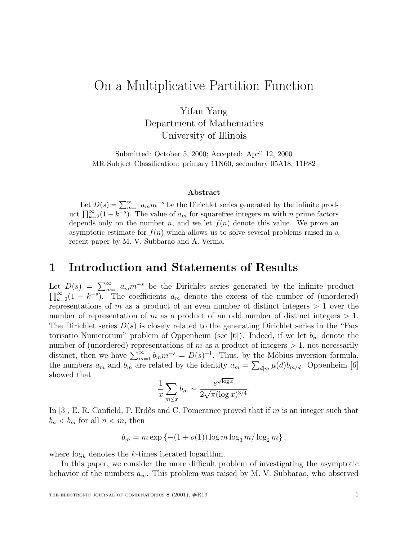# On a Multiplicative Partition Function

Yifan Yang Department of Mathematics University of Illinois

Submitted: October 5, 2000; Accepted: April 12, 2000 MR Subject Classification: primary 11N60, secondary 05A18, 11P82

#### **Abstract**

Let  $D(s) = \sum_{m=1}^{\infty} a_m m^{-s}$  be the Dirichlet series generated by the infinite prod-<br> $\Pi^{\infty}$  (1 –  $k^{-s}$ ). The value of a for squarefree integers m with n prime factors uct  $\prod_{k=2}^{\infty} (1 - k^{-s})$ . The value of  $a_m$  for squarefree integers m with n prime factors depends only on the number n and we let  $f(n)$  denote this value. We prove an depends only on the number n, and we let  $f(n)$  denote this value. We prove an asymptotic estimate for  $f(n)$  which allows us to solve several problems raised in a recent paper by M. V. Subbarao and A. Verma.

### **1 Introduction and Statements of Results**

Let  $D(s) = \sum_{m=1}^{\infty} a_m m^{-s}$  be the Dirichlet series generated by the infinite product  $\Pi^{\infty}$  (1  $k^{-s}$ ). The coefficients a denote the excess of the number of (unordered  $\prod_{k=2}^{\infty} (1 - k^{-s})$ . The coefficients  $a_m$  denote the excess of the number of (unordered)<br>representations of m as a product of an even number of distinct integers > 1 even the representations of m as a product of an even number of distinct integers  $> 1$  over the number of representation of m as a product of an odd number of distinct integers  $> 1$ . The Dirichlet series  $D(s)$  is closely related to the generating Dirichlet series in the "Factorisatio Numerorum" problem of Oppenheim (see [6]). Indeed, if we let  $b_m$  denote the number of (unordered) representations of m as a product of integers  $> 1$ , not necessarily distinct, then we have  $\sum_{m=1}^{\infty} b_m m^{-s} = D(s)^{-1}$ . Thus, by the Möbius inversion formula, the numbers  $a_m$  and  $b_m$  are related by the identity  $a_m = \sum_{d|m} \mu(d) b_{m/d}$ . Oppenheim [6] showed that √

$$
\frac{1}{x} \sum_{m \le x} b_m \sim \frac{e^{\sqrt{\log x}}}{2\sqrt{\pi} (\log x)^{3/4}}.
$$

In [3], E. R. Canfield, P. Erdős and C. Pomerance proved that if  $m$  is an integer such that  $b_n < b_m$  for all  $n < m$ , then

$$
b_m = m \exp \{ -(1 + o(1)) \log m \log_3 m / \log_2 m \},\,
$$

where  $log_k$  denotes the k-times iterated logarithm.

In this paper, we consider the more difficult problem of investigating the asymptotic behavior of the numbers  $a_m$ . This problem was raised by M. V. Subbarao, who observed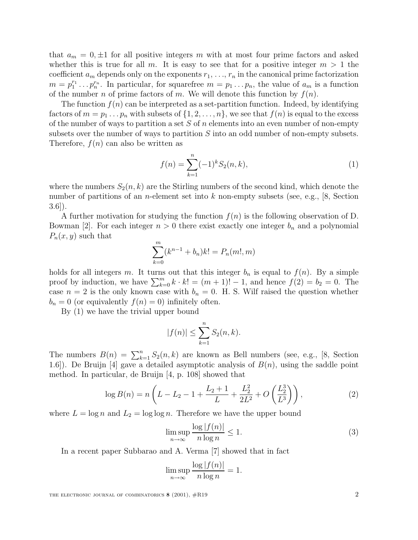that  $a_m = 0, \pm 1$  for all positive integers m with at most four prime factors and asked whether this is true for all m. It is easy to see that for a positive integer  $m > 1$  the coefficient  $a_m$  depends only on the exponents  $r_1, \ldots, r_n$  in the canonical prime factorization  $m = p_1^{r_1} \dots p_n^{r_n}$ . In particular, for squarefree  $m = p_1 \dots p_n$ , the value of  $a_m$  is a function of the number  $p$  of prime fectors of  $m$ . We will denote this function by  $f(n)$ of the number n of prime factors of m. We will denote this function by  $f(n)$ .

The function  $f(n)$  can be interpreted as a set-partition function. Indeed, by identifying factors of  $m = p_1 \dots p_n$  with subsets of  $\{1, 2, \dots, n\}$ , we see that  $f(n)$  is equal to the excess of the number of ways to partition a set  $S$  of n elements into an even number of non-empty subsets over the number of ways to partition S into an odd number of non-empty subsets. Therefore,  $f(n)$  can also be written as

$$
f(n) = \sum_{k=1}^{n} (-1)^k S_2(n, k),
$$
 (1)

where the numbers  $S_2(n, k)$  are the Stirling numbers of the second kind, which denote the number of partitions of an *n*-element set into k non-empty subsets (see, e.g., [8, Section 3.6]).

A further motivation for studying the function  $f(n)$  is the following observation of D. Bowman [2]. For each integer  $n > 0$  there exist exactly one integer  $b_n$  and a polynomial  $P_n(x, y)$  such that

$$
\sum_{k=0}^{m} (k^{n-1} + b_n)k! = P_n(m!, m)
$$

holds for all integers m. It turns out that this integer  $b_n$  is equal to  $f(n)$ . By a simple proof by induction, we have  $\sum_{k=0}^{m} k \cdot k! = (m+1)! - 1$ , and hence  $f(2) = b_2 = 0$ . The case  $n = 2$  is the only known case with  $b_n = 0$ . H. S. Wilf raised the question whether  $b_n = 0$  (or equivalently  $f(n) = 0$ ) infinitely often.

By (1) we have the trivial upper bound

$$
|f(n)| \le \sum_{k=1}^{n} S_2(n, k).
$$

The numbers  $B(n) = \sum_{k=1}^{n} S_2(n, k)$  are known as Bell numbers (see, e.g., [8, Section 1.6]). Do Bruin [4] gave a detailed asymptotic applying of  $B(n)$ , using the saddle point 1.6]). De Bruijn [4] gave a detailed asymptotic analysis of  $B(n)$ , using the saddle point method. In particular, de Bruijn [4, p. 108] showed that

$$
\log B(n) = n\left(L - L_2 - 1 + \frac{L_2 + 1}{L} + \frac{L_2^2}{2L^2} + O\left(\frac{L_2^3}{L^3}\right)\right),\tag{2}
$$

where  $L = \log n$  and  $L_2 = \log \log n$ . Therefore we have the upper bound

$$
\limsup_{n \to \infty} \frac{\log |f(n)|}{n \log n} \le 1.
$$
\n(3)

In a recent paper Subbarao and A. Verma [7] showed that in fact

$$
\limsup_{n \to \infty} \frac{\log |f(n)|}{n \log n} = 1.
$$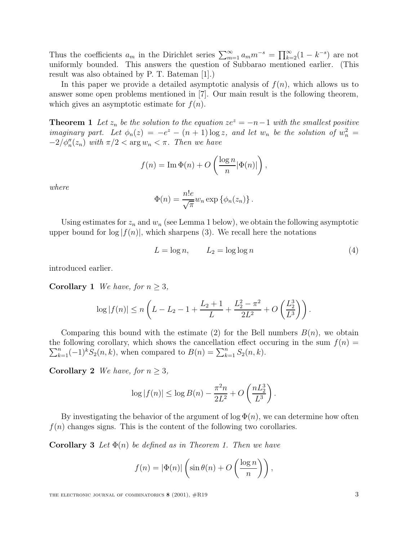Thus the coefficients  $a_m$  in the Dirichlet series  $\sum_{m=1}^{\infty} a_m m^{-s} = \prod_{k=2}^{\infty} (1 - k^{-s})$  are not<br>uniformly bounded. This appears the question of Subbarea mentioned earlier. (This uniformly bounded. This answers the question of Subbarao mentioned earlier. (This result was also obtained by P. T. Bateman [1].)

In this paper we provide a detailed asymptotic analysis of  $f(n)$ , which allows us to answer some open problems mentioned in [7]. Our main result is the following theorem, which gives an asymptotic estimate for  $f(n)$ .

**Theorem 1** Let  $z_n$  be the solution to the equation  $ze^z = -n-1$  with the smallest positive imaginary part. Let  $\phi_n(z) = -e^z - (n+1) \log z$ , and let  $w_n$  be the solution of  $w_n^2 =$  $-2/\phi''_n(z_n)$  with  $\pi/2 < \arg w_n < \pi$ . Then we have

$$
f(n) = \operatorname{Im} \Phi(n) + O\left(\frac{\log n}{n} |\Phi(n)|\right),\,
$$

where

$$
\Phi(n) = \frac{n!e}{\sqrt{\pi}} w_n \exp \{\phi_n(z_n)\}.
$$

Using estimates for  $z_n$  and  $w_n$  (see Lemma 1 below), we obtain the following asymptotic upper bound for  $\log |f(n)|$ , which sharpens (3). We recall here the notations

$$
L = \log n, \qquad L_2 = \log \log n \tag{4}
$$

introduced earlier.

**Corollary 1** We have, for  $n \geq 3$ ,

$$
\log |f(n)| \le n \left( L - L_2 - 1 + \frac{L_2 + 1}{L} + \frac{L_2^2 - \pi^2}{2L^2} + O\left(\frac{L_2^3}{L^3}\right) \right).
$$

Comparing this bound with the estimate (2) for the Bell numbers  $B(n)$ , we obtain  $\sum_{k=1}^{n}(-1)^{k}S_{2}(n,k)$ , when compared to  $B(n) = \sum_{k=1}^{n}S_{2}(n,k)$ . the following corollary, which shows the cancellation effect occuring in the sum  $f(n)$  =

**Corollary 2** We have, for  $n \geq 3$ ,

$$
\log |f(n)| \le \log B(n) - \frac{\pi^2 n}{2L^2} + O\left(\frac{nL_2^3}{L^3}\right).
$$

By investigating the behavior of the argument of  $\log \Phi(n)$ , we can determine how often  $f(n)$  changes signs. This is the content of the following two corollaries.

**Corollary 3** Let  $\Phi(n)$  be defined as in Theorem 1. Then we have

$$
f(n) = |\Phi(n)| \left( \sin \theta(n) + O\left(\frac{\log n}{n}\right) \right),\,
$$

THE ELECTRONIC JOURNAL OF COMBINATORICS **8** (2001),  $\#R19$  3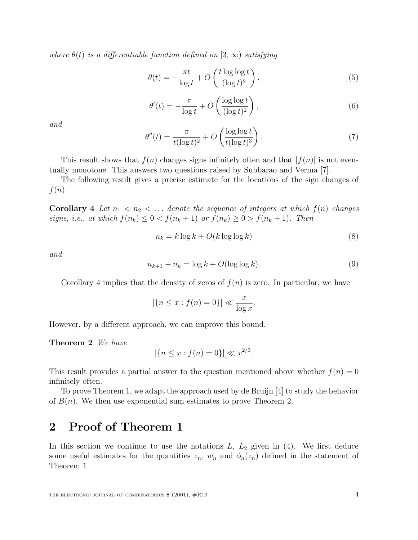where  $\theta(t)$  is a differentiable function defined on  $[3,\infty)$  satisfying

$$
\theta(t) = -\frac{\pi t}{\log t} + O\left(\frac{t \log \log t}{(\log t)^2}\right),\tag{5}
$$

$$
\theta'(t) = -\frac{\pi}{\log t} + O\left(\frac{\log \log t}{(\log t)^2}\right),\tag{6}
$$

and

$$
\theta''(t) = \frac{\pi}{t(\log t)^2} + O\left(\frac{\log \log t}{t(\log t)^3}\right). \tag{7}
$$

This result shows that  $f(n)$  changes signs infinitely often and that  $|f(n)|$  is not eventually monotone. This answers two questions raised by Subbarao and Verma [7].

The following result gives a precise estimate for the locations of the sign changes of  $f(n).$ 

**Corollary 4** Let  $n_1 < n_2 < \ldots$  denote the sequence of integers at which  $f(n)$  changes signs, i.e., at which  $f(n_k) \leq 0 < f(n_k + 1)$  or  $f(n_k) \geq 0 > f(n_k + 1)$ . Then

$$
n_k = k \log k + O(k \log \log k)
$$
\n(8)

and

$$
n_{k+1} - n_k = \log k + O(\log \log k). \tag{9}
$$

Corollary 4 implies that the density of zeros of  $f(n)$  is zero. In particular, we have

$$
|\{n \le x : f(n) = 0\}| \ll \frac{x}{\log x}.
$$

However, by a different approach, we can improve this bound.

**Theorem 2** We have

$$
|\{n \le x : f(n) = 0\}| \ll x^{2/3}.
$$

This result provides a partial answer to the question mentioned above whether  $f(n)=0$ infinitely often.

To prove Theorem 1, we adapt the approach used by de Bruijn [4] to study the behavior of  $B(n)$ . We then use exponential sum estimates to prove Theorem 2.

# **2 Proof of Theorem 1**

In this section we continue to use the notations  $L, L_2$  given in (4). We first deduce some useful estimates for the quantities  $z_n$ ,  $w_n$  and  $\phi_n(z_n)$  defined in the statement of Theorem 1.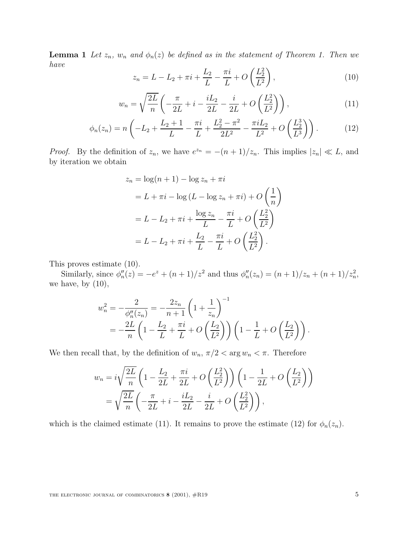**Lemma 1** Let  $z_n$ ,  $w_n$  and  $\phi_n(z)$  be defined as in the statement of Theorem 1. Then we have

$$
z_n = L - L_2 + \pi i + \frac{L_2}{L} - \frac{\pi i}{L} + O\left(\frac{L_2^2}{L^2}\right),\tag{10}
$$

$$
w_n = \sqrt{\frac{2L}{n}} \left( -\frac{\pi}{2L} + i - \frac{iL_2}{2L} - \frac{i}{2L} + O\left(\frac{L_2^2}{L^2}\right) \right),\tag{11}
$$

$$
\phi_n(z_n) = n \left( -L_2 + \frac{L_2 + 1}{L} - \frac{\pi i}{L} + \frac{L_2^2 - \pi^2}{2L^2} - \frac{\pi i L_2}{L^2} + O\left(\frac{L_2^3}{L^3}\right) \right). \tag{12}
$$

*Proof.* By the definition of  $z_n$ , we have  $e^{z_n} = -(n+1)/z_n$ . This implies  $|z_n| \ll L$ , and by iteration we obtain

$$
z_n = \log(n+1) - \log z_n + \pi i
$$
  
= L + \pi i - \log (L - \log z\_n + \pi i) + O\left(\frac{1}{n}\right)  
= L - L\_2 + \pi i + \frac{\log z\_n}{L} - \frac{\pi i}{L} + O\left(\frac{L\_2^2}{L^2}\right)  
= L - L\_2 + \pi i + \frac{L\_2}{L} - \frac{\pi i}{L} + O\left(\frac{L\_2^2}{L^2}\right).

This proves estimate (10).

Similarly, since  $\phi''_n(z) = -e^z + (n+1)/z^2$  and thus  $\phi''_n(z_n) = (n+1)/z_n + (n+1)/z_n^2$ , we have, by  $(10)$ ,

$$
w_n^2 = -\frac{2}{\phi_n''(z_n)} = -\frac{2z_n}{n+1} \left( 1 + \frac{1}{z_n} \right)^{-1}
$$
  
= 
$$
-\frac{2L}{n} \left( 1 - \frac{L_2}{L} + \frac{\pi i}{L} + O\left(\frac{L_2}{L^2}\right) \right) \left( 1 - \frac{1}{L} + O\left(\frac{L_2}{L^2}\right) \right).
$$

We then recall that, by the definition of  $w_n$ ,  $\pi/2 < \arg w_n < \pi$ . Therefore

$$
w_n = i\sqrt{\frac{2L}{n}} \left( 1 - \frac{L_2}{2L} + \frac{\pi i}{2L} + O\left(\frac{L_2^2}{L^2}\right) \right) \left( 1 - \frac{1}{2L} + O\left(\frac{L_2}{L^2}\right) \right)
$$
  
=  $\sqrt{\frac{2L}{n}} \left( -\frac{\pi}{2L} + i - \frac{iL_2}{2L} - \frac{i}{2L} + O\left(\frac{L_2^2}{L^2}\right) \right),$ 

which is the claimed estimate (11). It remains to prove the estimate (12) for  $\phi_n(z_n)$ .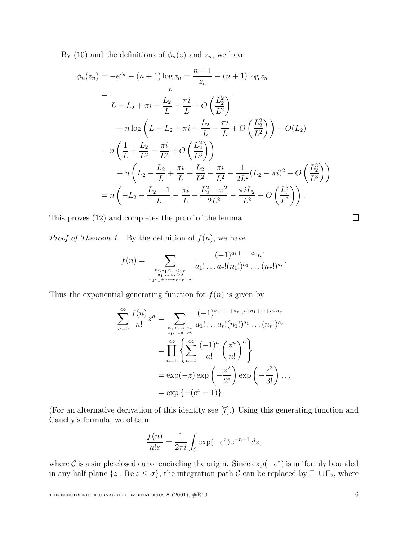By (10) and the definitions of  $\phi_n(z)$  and  $z_n$ , we have

$$
\phi_n(z_n) = -e^{z_n} - (n+1)\log z_n = \frac{n+1}{z_n} - (n+1)\log z_n
$$
  
\n
$$
= \frac{n}{L - L_2 + \pi i + \frac{L_2}{L} - \frac{\pi i}{L} + O\left(\frac{L_2^2}{L^2}\right)}
$$
  
\n
$$
-n\log\left(L - L_2 + \pi i + \frac{L_2}{L} - \frac{\pi i}{L} + O\left(\frac{L_2^2}{L^2}\right)\right) + O(L_2)
$$
  
\n
$$
= n\left(\frac{1}{L} + \frac{L_2}{L^2} - \frac{\pi i}{L^2} + O\left(\frac{L_2^2}{L^3}\right)\right)
$$
  
\n
$$
-n\left(L_2 - \frac{L_2}{L} + \frac{\pi i}{L} + \frac{L_2}{L^2} - \frac{\pi i}{L^2} - \frac{1}{2L^2}(L_2 - \pi i)^2 + O\left(\frac{L_2^3}{L^3}\right)\right)
$$
  
\n
$$
= n\left(-L_2 + \frac{L_2 + 1}{L} - \frac{\pi i}{L} + \frac{L_2^2 - \pi^2}{2L^2} - \frac{\pi i L_2}{L^2} + O\left(\frac{L_2^3}{L^3}\right)\right).
$$

This proves (12) and completes the proof of the lemma.

*Proof of Theorem 1.* By the definition of  $f(n)$ , we have

$$
f(n) = \sum_{\substack{0 < n_1 < \ldots < n_r \\ a_1, \ldots, a_r > 0 \\ a_1 n_1 + \cdots + a_r n_r = n}} \frac{(-1)^{a_1 + \cdots + a_r} n!}{a_1! \ldots a_r! (n_1!)^{a_1} \ldots (n_r!)^{a_r}}.
$$

Thus the exponential generating function for  $f(n)$  is given by

$$
\sum_{n=0}^{\infty} \frac{f(n)}{n!} z^n = \sum_{\substack{n_1 < \dots < n_r \\ a_1, \dots, a_r > 0}} \frac{(-1)^{a_1 + \dots + a_r} z^{a_1 n_1 + \dots + a_r n_r}}{a_1! \dots a_r! (n_1!)^{a_1} \dots (n_r!)^{a_r}}
$$
  
= 
$$
\prod_{n=1}^{\infty} \left\{ \sum_{a=0}^{\infty} \frac{(-1)^a}{a!} \left( \frac{z^n}{n!} \right)^a \right\}
$$
  
= 
$$
\exp(-z) \exp\left(-\frac{z^2}{2!}\right) \exp\left(-\frac{z^3}{3!}\right) \dots
$$
  
= 
$$
\exp\left\{-(e^z - 1)\right\}.
$$

(For an alternative derivation of this identity see [7].) Using this generating function and Cauchy's formula, we obtain

$$
\frac{f(n)}{n!e} = \frac{1}{2\pi i} \int_{\mathcal{C}} \exp(-e^z) z^{-n-1} dz,
$$

where C is a simple closed curve encircling the origin. Since  $\exp(-e^z)$  is uniformly bounded in any half-plane  $\{z : \text{Re } z \le \sigma\}$ , the integration path  $\mathcal C$  can be replaced by  $\Gamma_1 \cup \Gamma_2$ , where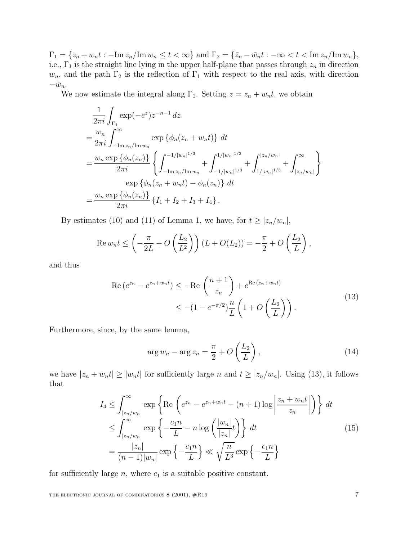$\Gamma_1 = \{z_n + w_n t : -\text{Im } z_n / \text{Im } w_n \le t < \infty\}$  and  $\Gamma_2 = \{\bar{z}_n - \bar{w}_n t : -\infty < t < \text{Im } z_n / \text{Im } w_n\},\$ i.e.,  $\Gamma_1$  is the straight line lying in the upper half-plane that passes through  $z_n$  in direction  $w_n$ , and the path  $\Gamma_2$  is the reflection of  $\Gamma_1$  with respect to the real axis, with direction  $-\bar{w}_n$ .

We now estimate the integral along  $\Gamma_1$ . Setting  $z = z_n + w_n t$ , we obtain

$$
\frac{1}{2\pi i} \int_{\Gamma_1} \exp(-e^z) z^{-n-1} dz
$$
\n
$$
= \frac{w_n}{2\pi i} \int_{-\text{Im } z_n/\text{Im } w_n}^{\infty} \exp \{ \phi_n(z_n + w_n t) \} dt
$$
\n
$$
= \frac{w_n \exp \{ \phi_n(z_n) \}}{2\pi i} \left\{ \int_{-\text{Im } z_n/\text{Im } w_n}^{-1/|w_n|^{1/3}} + \int_{-1/|w_n|^{1/3}}^{1/|w_n|^{1/3}} + \int_{|z_n/w_n|}^{z_n/w_n} \right\}
$$
\n
$$
= \exp \{ \phi_n(z_n + w_n t) - \phi_n(z_n) \} dt
$$
\n
$$
= \frac{w_n \exp \{ \phi_n(z_n) \}}{2\pi i} \{ I_1 + I_2 + I_3 + I_4 \}.
$$

By estimates (10) and (11) of Lemma 1, we have, for  $t \geq |z_n/w_n|$ ,

$$
\operatorname{Re} w_n t \le \left(-\frac{\pi}{2L} + O\left(\frac{L_2}{L^2}\right)\right) \left(L + O(L_2)\right) = -\frac{\pi}{2} + O\left(\frac{L_2}{L}\right),
$$

and thus

$$
\operatorname{Re}\left(e^{z_n} - e^{z_n + w_n t}\right) \le -\operatorname{Re}\left(\frac{n+1}{z_n}\right) + e^{\operatorname{Re}\left(z_n + w_n t\right)} \le -(1 - e^{-\pi/2})\frac{n}{L}\left(1 + O\left(\frac{L_2}{L}\right)\right). \tag{13}
$$

Furthermore, since, by the same lemma,

$$
\arg w_n - \arg z_n = \frac{\pi}{2} + O\left(\frac{L_2}{L}\right),\tag{14}
$$

we have  $|z_n + w_n t| \ge |w_n t|$  for sufficiently large n and  $t \ge |z_n/w_n|$ . Using (13), it follows that

$$
I_4 \leq \int_{|z_n/w_n|}^{\infty} \exp\left\{ \text{Re}\left(e^{z_n} - e^{z_n + w_n t} - (n+1)\log\left|\frac{z_n + w_n t}{z_n}\right|\right) \right\} dt
$$
  
\n
$$
\leq \int_{|z_n/w_n|}^{\infty} \exp\left\{-\frac{c_1 n}{L} - n\log\left(\frac{|w_n|}{|z_n|}t\right) \right\} dt
$$
  
\n
$$
= \frac{|z_n|}{(n-1)|w_n|} \exp\left\{-\frac{c_1 n}{L}\right\} \ll \sqrt{\frac{n}{L^3}} \exp\left\{-\frac{c_1 n}{L}\right\}
$$
 (15)

for sufficiently large  $n$ , where  $c_1$  is a suitable positive constant.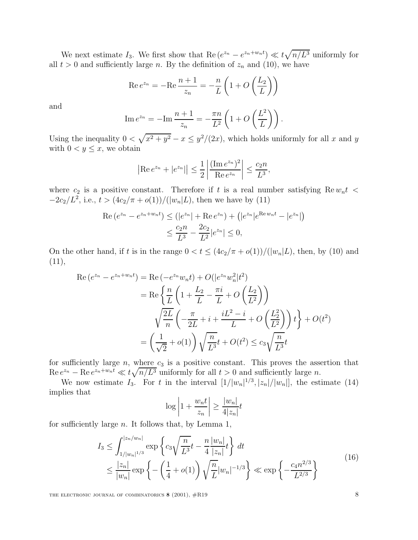We next estimate  $I_3$ . We first show that  $\text{Re}(e^{z_n}-e^{z_n+w_nt}) \ll t\sqrt{n/L^3}$  uniformly for all  $t > 0$  and sufficiently large n. By the definition of  $z_n$  and (10), we have

$$
\operatorname{Re} e^{z_n} = -\operatorname{Re} \frac{n+1}{z_n} = -\frac{n}{L} \left( 1 + O\left(\frac{L_2}{L}\right) \right)
$$

and

$$
\operatorname{Im} e^{z_n} = -\operatorname{Im} \frac{n+1}{z_n} = -\frac{\pi n}{L^2} \left( 1 + O\left(\frac{L^2}{L}\right) \right).
$$

Using the inequality  $0 < \sqrt{x^2 + y^2} - x \leq y^2/(2x)$ , which holds uniformly for all x and y with  $0 < y \leq x$ , we obtain

$$
|\text{Re } e^{z_n} + |e^{z_n}| \le \frac{1}{2} \left| \frac{(\text{Im } e^{z_n})^2}{\text{Re } e^{z_n}} \right| \le \frac{c_2 n}{L^3},
$$

where  $c_2$  is a positive constant. Therefore if t is a real number satisfying Re  $w_n t$  <  $-2c_2/L^2$ , i.e.,  $t > (4c_2/\pi + o(1))/(|w_n|L)$ , then we have by (11)

$$
\operatorname{Re}\left(e^{z_n} - e^{z_n + w_n t}\right) \le \left(|e^{z_n}| + \operatorname{Re} e^{z_n}\right) + \left(|e^{z_n}|e^{\operatorname{Re} w_n t} - |e^{z_n}|\right)
$$

$$
\le \frac{c_2 n}{L^3} - \frac{2c_2}{L^2}|e^{z_n}| \le 0,
$$

On the other hand, if t is in the range  $0 < t \leq (4c_2/\pi + o(1))/(|w_n|L)$ , then, by (10) and  $(11),$ 

$$
\operatorname{Re}\left(e^{z_n} - e^{z_n + w_n t}\right) = \operatorname{Re}\left(-e^{z_n} w_n t\right) + O(|e^{z_n} w_n^2|t^2) \n= \operatorname{Re}\left\{\frac{n}{L}\left(1 + \frac{L_2}{L} - \frac{\pi i}{L} + O\left(\frac{L_2}{L^2}\right)\right) \n\sqrt{\frac{2L}{n}}\left(-\frac{\pi}{2L} + i + \frac{iL^2 - i}{L} + O\left(\frac{L_2^2}{L^2}\right)\right)t\right\} + O(t^2) \n= \left(\frac{1}{\sqrt{2}} + o(1)\right) \sqrt{\frac{n}{L^3}}t + O(t^2) \le c_3 \sqrt{\frac{n}{L^3}}t
$$

for sufficiently large  $n$ , where  $c_3$  is a positive constant. This proves the assertion that  $\text{Re } e^{z_n} - \text{Re } e^{z_n + w_n t} \ll t \sqrt{n/L^3}$  uniformly for all  $t > 0$  and sufficiently large n.

We now estimate  $I_3$ . For t in the interval  $[1/|w_n|^{1/3}, |z_n|/|w_n|]$ , the estimate (14) implies that

$$
\log\left|1+\frac{w_nt}{z_n}\right|\ge\frac{|w_n|}{4|z_n|}t
$$

for sufficiently large  $n$ . It follows that, by Lemma 1,

$$
I_3 \le \int_{1/|w_n|^{1/3}}^{|z_n/w_n|} \exp\left\{c_3\sqrt{\frac{n}{L^3}}t - \frac{n}{4}\frac{|w_n|}{|z_n|}t\right\} dt
$$
  
 
$$
\le \frac{|z_n|}{|w_n|} \exp\left\{-\left(\frac{1}{4} + o(1)\right)\sqrt{\frac{n}{L}}|w_n|^{-1/3}\right\} \ll \exp\left\{-\frac{c_4 n^{2/3}}{L^{2/3}}\right\}
$$
(16)

THE ELECTRONIC JOURNAL OF COMBINATORICS **8** (2001),  $\#R19$  8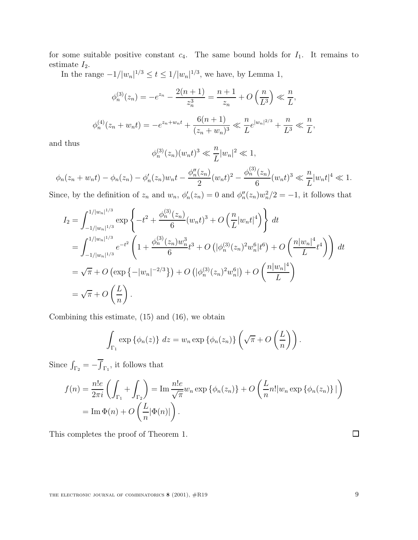for some suitable positive constant  $c_4$ . The same bound holds for  $I_1$ . It remains to estimate  $I_2$ .

In the range  $-1/|w_n|^{1/3} \le t \le 1/|w_n|^{1/3}$ , we have, by Lemma 1,

$$
\phi_n^{(3)}(z_n) = -e^{z_n} - \frac{2(n+1)}{z_n^3} = \frac{n+1}{z_n} + O\left(\frac{n}{L^3}\right) \ll \frac{n}{L},
$$
  

$$
\phi_n^{(4)}(z_n + w_n t) = -e^{z_n + w_n t} + \frac{6(n+1)}{(z_n + w_n)^3} \ll \frac{n}{L} e^{|w_n|^{2/3}} + \frac{n}{L^3} \ll \frac{n}{L},
$$

and thus

$$
\phi_n^{(3)}(z_n)(w_nt)^3 \ll \frac{n}{L}|w_n|^2 \ll 1,
$$

$$
\phi_n(z_n + w_n t) - \phi_n(z_n) - \phi'_n(z_n) w_n t - \frac{\phi''_n(z_n)}{2} (w_n t)^2 - \frac{\phi_n^{(3)}(z_n)}{6} (w_n t)^3 \ll \frac{n}{L} |w_n t|^4 \ll 1.
$$

Since, by the definition of  $z_n$  and  $w_n$ ,  $\phi'_n(z_n) = 0$  and  $\phi''_n(z_n)w_n^2/2 = -1$ , it follows that

$$
I_2 = \int_{-1/|w_n|^{1/3}}^{1/|w_n|^{1/3}} \exp\left\{-t^2 + \frac{\phi_n^{(3)}(z_n)}{6}(w_n t)^3 + O\left(\frac{n}{L}|w_n t|^4\right)\right\} dt
$$
  
\n
$$
= \int_{-1/|w_n|^{1/3}}^{1/|w_n|^{1/3}} e^{-t^2} \left(1 + \frac{\phi_n^{(3)}(z_n)w_n^3}{6}t^3 + O\left(|\phi_n^{(3)}(z_n)^2 w_n^6|t^6\right) + O\left(\frac{n|w_n|^4}{L}t^4\right)\right) dt
$$
  
\n
$$
= \sqrt{\pi} + O\left(\exp\left\{-|w_n|^{-2/3}\right\}\right) + O\left(|\phi_n^{(3)}(z_n)^2 w_n^6|\right) + O\left(\frac{n|w_n|^4}{L}\right)
$$
  
\n
$$
= \sqrt{\pi} + O\left(\frac{L}{n}\right).
$$

Combining this estimate, (15) and (16), we obtain

$$
\int_{\Gamma_1} \exp \{\phi_n(z)\} dz = w_n \exp \{\phi_n(z_n)\} \left(\sqrt{\pi} + O\left(\frac{L}{n}\right)\right).
$$

Since  $\int_{\Gamma_2} = -\int$ Γ1 , it follows that

$$
f(n) = \frac{n!e}{2\pi i} \left( \int_{\Gamma_1} + \int_{\Gamma_2} \right) = \operatorname{Im} \frac{n!e}{\sqrt{\pi}} w_n \exp \left\{ \phi_n(z_n) \right\} + O\left( \frac{L}{n} n! |w_n \exp \left\{ \phi_n(z_n) \right\} | \right)
$$

$$
= \operatorname{Im} \Phi(n) + O\left( \frac{L}{n} |\Phi(n)| \right).
$$

This completes the proof of Theorem 1.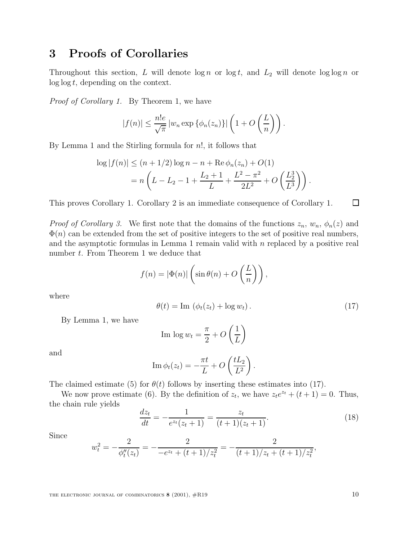# **3 Proofs of Corollaries**

Throughout this section, L will denote  $\log n$  or  $\log t$ , and  $L_2$  will denote  $\log \log n$  or  $\log \log t$ , depending on the context.

Proof of Corollary 1. By Theorem 1, we have

$$
|f(n)| \leq \frac{n!e}{\sqrt{\pi}} |w_n \exp {\{\phi_n(z_n)\}}| \left(1 + O\left(\frac{L}{n}\right)\right).
$$

By Lemma 1 and the Stirling formula for n!, it follows that

$$
\log |f(n)| \le (n + 1/2) \log n - n + \text{Re} \phi_n(z_n) + O(1)
$$
  
=  $n \left( L - L_2 - 1 + \frac{L_2 + 1}{L} + \frac{L^2 - \pi^2}{2L^2} + O\left(\frac{L_2^3}{L^3}\right) \right).$ 

This proves Corollary 1. Corollary 2 is an immediate consequence of Corollary 1.

*Proof of Corollary 3.* We first note that the domains of the functions  $z_n$ ,  $w_n$ ,  $\phi_n(z)$  and  $\Phi(n)$  can be extended from the set of positive integers to the set of positive real numbers, and the asymptotic formulas in Lemma 1 remain valid with  $n$  replaced by a positive real number t. From Theorem 1 we deduce that

$$
f(n) = |\Phi(n)| \left( \sin \theta(n) + O\left(\frac{L}{n}\right) \right),\,
$$

where

$$
\theta(t) = \text{Im} \left( \phi_t(z_t) + \log w_t \right). \tag{17}
$$

By Lemma 1, we have

Im 
$$
\log w_t = \frac{\pi}{2} + O\left(\frac{1}{L}\right)
$$

and

Im 
$$
\phi_t(z_t) = -\frac{\pi t}{L} + O\left(\frac{tL_2}{L^2}\right)
$$
.

The claimed estimate (5) for  $\theta(t)$  follows by inserting these estimates into (17).

We now prove estimate (6). By the definition of  $z_t$ , we have  $z_t e^{z_t} + (t+1) = 0$ . Thus, the chain rule yields

$$
\frac{dz_t}{dt} = -\frac{1}{e^{z_t}(z_t+1)} = \frac{z_t}{(t+1)(z_t+1)}.\tag{18}
$$

Since

$$
w_t^2 = -\frac{2}{\phi_t''(z_t)} = -\frac{2}{-e^{z_t} + (t+1)/z_t^2} = -\frac{2}{(t+1)/z_t + (t+1)/z_t^2},
$$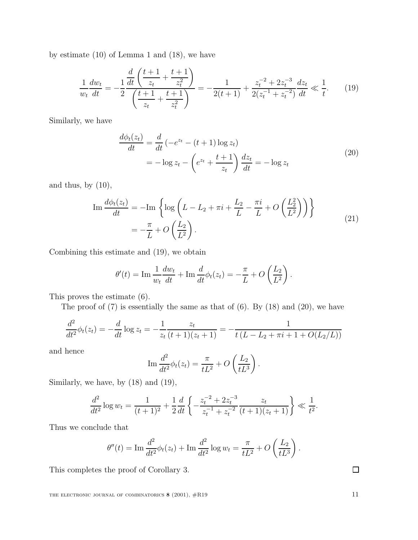by estimate (10) of Lemma 1 and (18), we have

$$
\frac{1}{w_t} \frac{dw_t}{dt} = -\frac{1}{2} \frac{\frac{d}{dt} \left(\frac{t+1}{z_t} + \frac{t+1}{z_t^2}\right)}{\left(\frac{t+1}{z_t} + \frac{t+1}{z_t^2}\right)} = -\frac{1}{2(t+1)} + \frac{z_t^{-2} + 2z_t^{-3}}{2(z_t^{-1} + z_t^{-2})} \frac{dz_t}{dt} \ll \frac{1}{t}.
$$
 (19)

Similarly, we have

$$
\frac{d\phi_t(z_t)}{dt} = \frac{d}{dt} \left( -e^{z_t} - (t+1) \log z_t \right)
$$

$$
= -\log z_t - \left( e^{z_t} + \frac{t+1}{z_t} \right) \frac{dz_t}{dt} = -\log z_t \tag{20}
$$

and thus, by  $(10)$ ,

$$
\operatorname{Im} \frac{d\phi_t(z_t)}{dt} = -\operatorname{Im} \left\{ \log \left( L - L_2 + \pi i + \frac{L_2}{L} - \frac{\pi i}{L} + O\left(\frac{L_2^2}{L^2}\right) \right) \right\}
$$
  
= 
$$
-\frac{\pi}{L} + O\left(\frac{L_2}{L^2}\right).
$$
 (21)

Combining this estimate and (19), we obtain

$$
\theta'(t) = \operatorname{Im} \frac{1}{w_t} \frac{dw_t}{dt} + \operatorname{Im} \frac{d}{dt} \phi_t(z_t) = -\frac{\pi}{L} + O\left(\frac{L_2}{L^2}\right).
$$

This proves the estimate (6).

The proof of  $(7)$  is essentially the same as that of  $(6)$ . By  $(18)$  and  $(20)$ , we have

$$
\frac{d^2}{dt^2}\phi_t(z_t) = -\frac{d}{dt}\log z_t = -\frac{1}{z_t}\frac{z_t}{(t+1)(z_t+1)} = -\frac{1}{t(L-L_2+\pi i+1+O(L_2/L))}
$$

and hence

$$
\operatorname{Im} \frac{d^2}{dt^2} \phi_t(z_t) = \frac{\pi}{tL^2} + O\left(\frac{L_2}{tL^3}\right).
$$

Similarly, we have, by (18) and (19),

$$
\frac{d^2}{dt^2}\log w_t = \frac{1}{(t+1)^2} + \frac{1}{2}\frac{d}{dt}\left\{-\frac{z_t^{-2} + 2z_t^{-3}}{z_t^{-1} + z_t^{-2}}\frac{z_t}{(t+1)(z_t+1)}\right\} \ll \frac{1}{t^2}.
$$

Thus we conclude that

$$
\theta''(t) = \text{Im} \frac{d^2}{dt^2} \phi_t(z_t) + \text{Im} \frac{d^2}{dt^2} \log w_t = \frac{\pi}{tL^2} + O\left(\frac{L_2}{tL^3}\right)
$$

This completes the proof of Corollary 3.

 $\Box$ 

.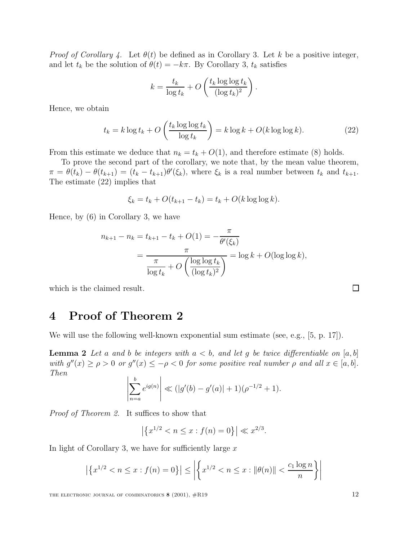*Proof of Corollary 4.* Let  $\theta(t)$  be defined as in Corollary 3. Let k be a positive integer, and let  $t_k$  be the solution of  $\theta(t) = -k\pi$ . By Corollary 3,  $t_k$  satisfies

$$
k = \frac{t_k}{\log t_k} + O\left(\frac{t_k \log \log t_k}{(\log t_k)^2}\right)
$$

Hence, we obtain

$$
t_k = k \log t_k + O\left(\frac{t_k \log \log t_k}{\log t_k}\right) = k \log k + O(k \log \log k). \tag{22}
$$

.

From this estimate we deduce that  $n_k = t_k + O(1)$ , and therefore estimate (8) holds.

To prove the second part of the corollary, we note that, by the mean value theorem,  $\pi = \theta(t_k) - \theta(t_{k+1}) = (t_k - t_{k+1})\theta'(\xi_k)$ , where  $\xi_k$  is a real number between  $t_k$  and  $t_{k+1}$ .<br>The setimate (20) invaling that The estimate (22) implies that

$$
\xi_k = t_k + O(t_{k+1} - t_k) = t_k + O(k \log \log k).
$$

Hence, by (6) in Corollary 3, we have

$$
n_{k+1} - n_k = t_{k+1} - t_k + O(1) = -\frac{\pi}{\theta'(\xi_k)}
$$
  
= 
$$
\frac{\pi}{\frac{\pi}{\log t_k} + O\left(\frac{\log \log t_k}{(\log t_k)^2}\right)} = \log k + O(\log \log k),
$$

which is the claimed result.

### **4 Proof of Theorem 2**

We will use the following well-known exponential sum estimate (see, e.g., [5, p. 17]).

**Lemma 2** Let a and b be integers with  $a < b$ , and let g be twice differentiable on  $[a, b]$ with  $g''(x) \ge \rho > 0$  or  $g''(x) \le -\rho < 0$  for some positive real number  $\rho$  and all  $x \in [a, b]$ . Then

$$
\left|\sum_{n=a}^{b} e^{ig(n)}\right| \ll (|g'(b) - g'(a)| + 1)(\rho^{-1/2} + 1).
$$

Proof of Theorem 2. It suffices to show that

$$
\left| \left\{ x^{1/2} < n \le x : f(n) = 0 \right\} \right| \ll x^{2/3}.
$$

In light of Corollary 3, we have for sufficiently large  $x$ 

$$
\left| \left\{ x^{1/2} < n \le x : f(n) = 0 \right\} \right| \le \left| \left\{ x^{1/2} < n \le x : ||\theta(n)|| < \frac{c_1 \log n}{n} \right\} \right|
$$

THE ELECTRONIC JOURNAL OF COMBINATORICS **8** (2001),  $\#R19$  12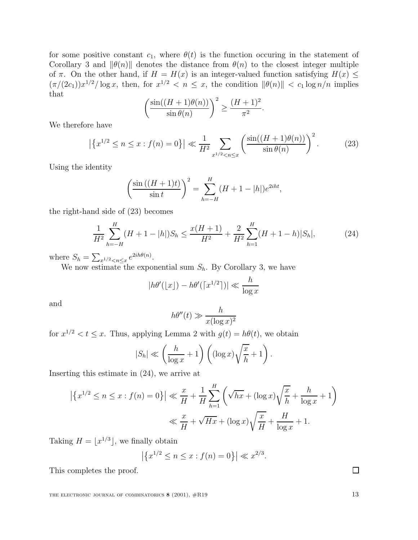for some positive constant  $c_1$ , where  $\theta(t)$  is the function occuring in the statement of Corollary 3 and  $\|\theta(n)\|$  denotes the distance from  $\theta(n)$  to the closest integer multiple of  $\pi$ . On the other hand, if  $H = H(x)$  is an integer-valued function satisfying  $H(x) \leq$  $(\pi/(2c_1))x^{1/2}/\log x$ , then, for  $x^{1/2} < n \leq x$ , the condition  $\|\theta(n)\| < c_1 \log n/n$  implies that

$$
\left(\frac{\sin((H+1)\theta(n))}{\sin\theta(n)}\right)^2 \ge \frac{(H+1)^2}{\pi^2}.
$$

We therefore have

$$
\left| \left\{ x^{1/2} \le n \le x : f(n) = 0 \right\} \right| \ll \frac{1}{H^2} \sum_{x^{1/2} < n \le x} \left( \frac{\sin((H+1)\theta(n))}{\sin \theta(n)} \right)^2. \tag{23}
$$

Using the identity

$$
\left(\frac{\sin((H+1)t)}{\sin t}\right)^2 = \sum_{h=-H}^{H} (H+1-|h|)e^{2iht},
$$

the right-hand side of (23) becomes

$$
\frac{1}{H^2} \sum_{h=-H}^{H} (H+1-|h|)S_h \le \frac{x(H+1)}{H^2} + \frac{2}{H^2} \sum_{h=1}^{H} (H+1-h)|S_h|,
$$
\n(24)

where  $S_h = \sum_{x^{1/2} \le n \le x} e^{2ih\theta(n)}$ .

We now estimate the exponential sum  $S_h$ . By Corollary 3, we have

$$
|h\theta'(\lfloor x\rfloor) - h\theta'(\lceil x^{1/2}\rceil)| \ll \frac{h}{\log x}
$$

and

$$
h\theta''(t) \gg \frac{h}{x(\log x)^2}
$$

for  $x^{1/2} < t \leq x$ . Thus, applying Lemma 2 with  $g(t) = h\theta(t)$ , we obtain

$$
|S_h| \ll \left(\frac{h}{\log x} + 1\right) \left( (\log x) \sqrt{\frac{x}{h}} + 1\right).
$$

Inserting this estimate in (24), we arrive at

$$
\left| \left\{ x^{1/2} \le n \le x : f(n) = 0 \right\} \right| \ll \frac{x}{H} + \frac{1}{H} \sum_{h=1}^{H} \left( \sqrt{hx} + (\log x) \sqrt{\frac{x}{h}} + \frac{h}{\log x} + 1 \right)
$$
  

$$
\ll \frac{x}{H} + \sqrt{Hx} + (\log x) \sqrt{\frac{x}{H}} + \frac{H}{\log x} + 1.
$$

Taking  $H = \lfloor x^{1/3} \rfloor$ , we finally obtain

$$
|\{x^{1/2} \le n \le x : f(n) = 0\}| \ll x^{2/3}.
$$

This completes the proof.